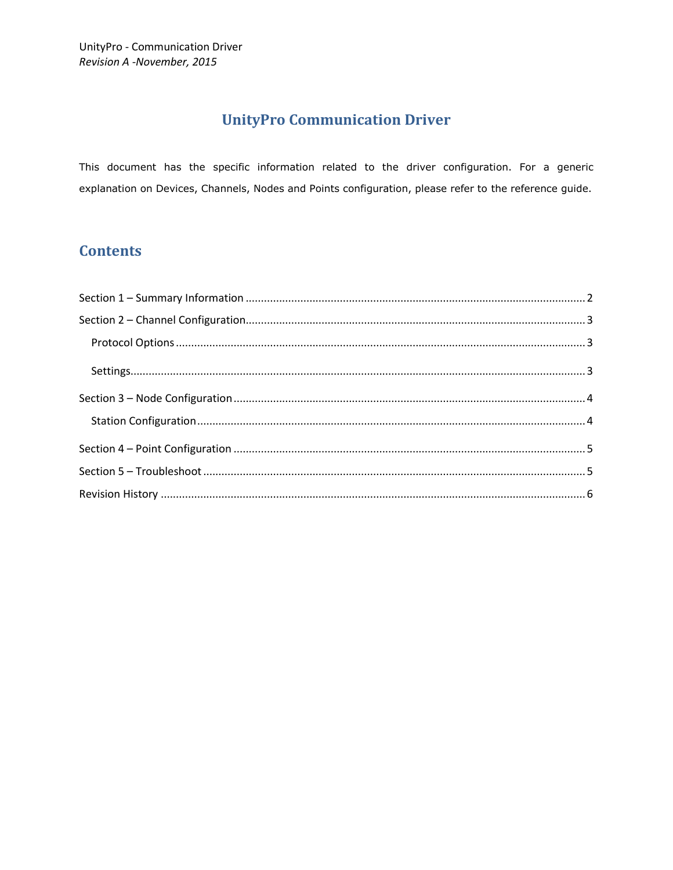# **UnityPro Communication Driver**

This document has the specific information related to the driver configuration. For a generic explanation on Devices, Channels, Nodes and Points configuration, please refer to the reference guide.

## **Contents**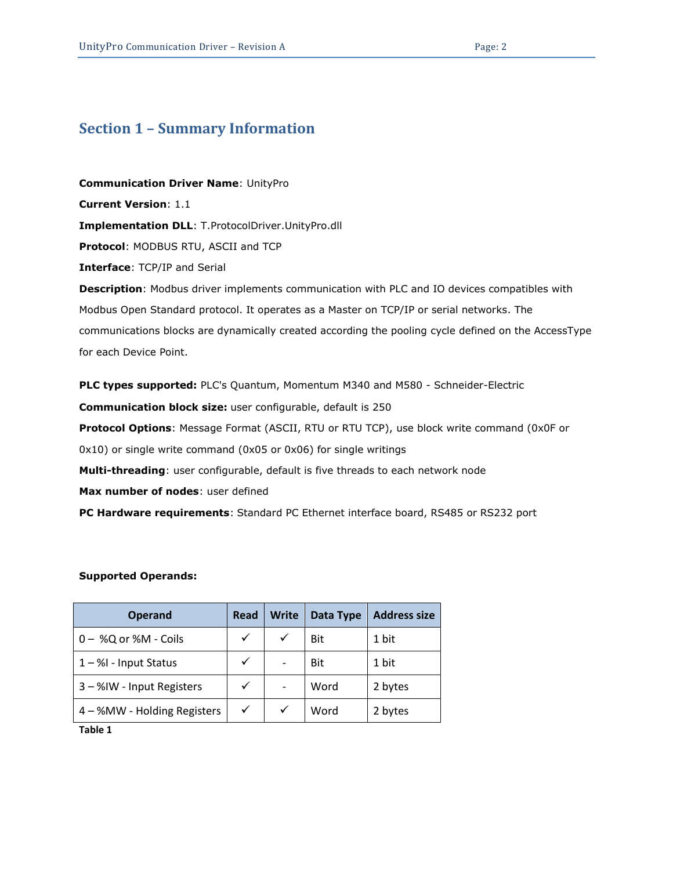## <span id="page-1-0"></span>**Section 1 – Summary Information**

**Communication Driver Name**: UnityPro **Current Version**: 1.1 **Implementation DLL**: T.ProtocolDriver.UnityPro.dll **Protocol**: MODBUS RTU, ASCII and TCP **Interface**: TCP/IP and Serial **Description**: Modbus driver implements communication with PLC and IO devices compatibles with Modbus Open Standard protocol. It operates as a Master on TCP/IP or serial networks. The communications blocks are dynamically created according the pooling cycle defined on the AccessType for each Device Point.

**PLC types supported:** PLC's Quantum, Momentum M340 and M580 - Schneider-Electric **Communication block size:** user configurable, default is 250 **Protocol Options**: Message Format (ASCII, RTU or RTU TCP), use block write command (0x0F or 0x10) or single write command (0x05 or 0x06) for single writings **Multi-threading**: user configurable, default is five threads to each network node **Max number of nodes**: user defined **PC Hardware requirements**: Standard PC Ethernet interface board, RS485 or RS232 port

#### **Supported Operands:**

| <b>Operand</b>              | Read | <b>Write</b> | Data Type | <b>Address size</b> |
|-----------------------------|------|--------------|-----------|---------------------|
| 0 - %Q or %M - Coils        | ✓    | $\checkmark$ | Bit       | 1 bit               |
| $1 - $ %I - Input Status    | ✓    |              | Bit       | 1 bit               |
| 3 - %IW - Input Registers   | ✓    |              | Word      | 2 bytes             |
| 4 - %MW - Holding Registers | ✓    | ✓            | Word      | 2 bytes             |

<span id="page-1-1"></span>**Table 1**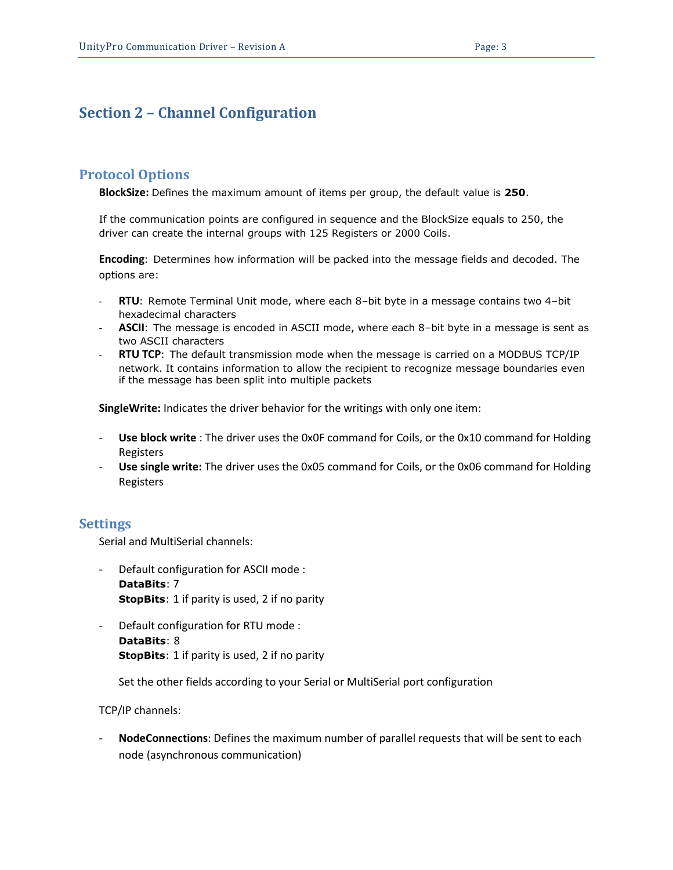## <span id="page-2-0"></span>**Section 2 – Channel Configuration**

#### <span id="page-2-1"></span>**Protocol Options**

**BlockSize:** Defines the maximum amount of items per group, the default value is **250**.

If the communication points are configured in sequence and the BlockSize equals to 250, the driver can create the internal groups with 125 Registers or 2000 Coils.

**Encoding**: Determines how information will be packed into the message fields and decoded. The options are:

- RTU: Remote Terminal Unit mode, where each 8-bit byte in a message contains two 4-bit hexadecimal characters
- **ASCII**: The message is encoded in ASCII mode, where each 8–bit byte in a message is sent as two ASCII characters
- **RTU TCP**: The default transmission mode when the message is carried on a MODBUS TCP/IP network. It contains information to allow the recipient to recognize message boundaries even if the message has been split into multiple packets

**SingleWrite:** Indicates the driver behavior for the writings with only one item:

- **Use block write** : The driver uses the 0x0F command for Coils, or the 0x10 command for Holding Registers
- **Use single write:** The driver uses the 0x05 command for Coils, or the 0x06 command for Holding Registers

#### <span id="page-2-2"></span>**Settings**

Serial and MultiSerial channels:

- Default configuration for ASCII mode : **DataBits**: 7 **StopBits**: 1 if parity is used, 2 if no parity
- Default configuration for RTU mode : **DataBits**: 8 **StopBits**: 1 if parity is used, 2 if no parity

Set the other fields according to your Serial or MultiSerial port configuration

TCP/IP channels:

- **NodeConnections**: Defines the maximum number of parallel requests that will be sent to each node (asynchronous communication)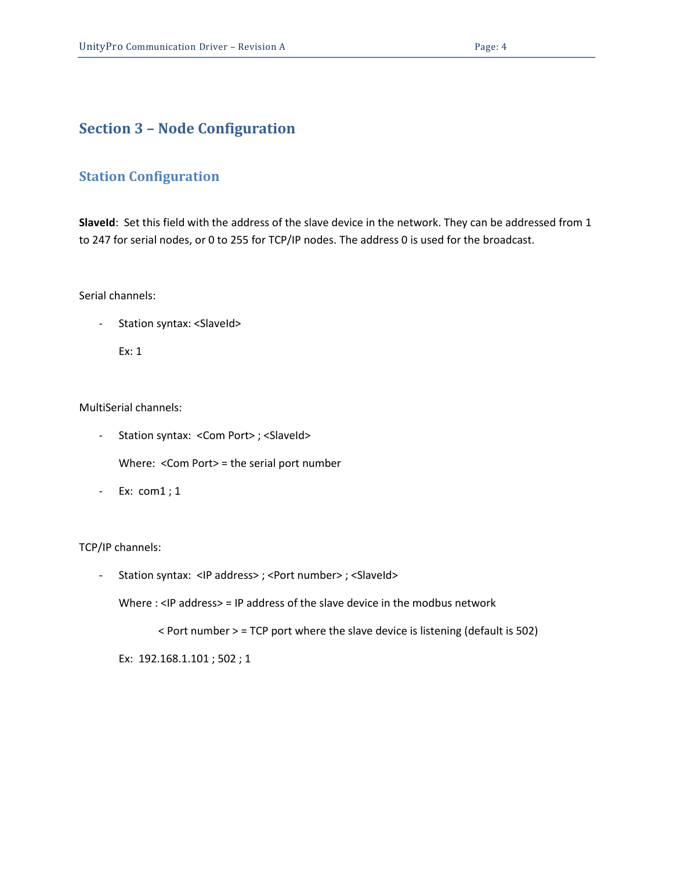## <span id="page-3-0"></span>**Section 3 – Node Configuration**

## <span id="page-3-1"></span>**Station Configuration**

**SlaveId**: Set this field with the address of the slave device in the network. They can be addressed from 1 to 247 for serial nodes, or 0 to 255 for TCP/IP nodes. The address 0 is used for the broadcast.

Serial channels:

- Station syntax: <SlaveId>

Ex: 1

MultiSerial channels:

- Station syntax: < Com Port>; < SlaveId>

Where: <Com Port> = the serial port number

- Ex: com1 ; 1

#### TCP/IP channels:

- Station syntax: <IP address>; <Port number>; <SlaveId>

Where : <IP address> = IP address of the slave device in the modbus network

< Port number > = TCP port where the slave device is listening (default is 502)

Ex: 192.168.1.101 ; 502 ; 1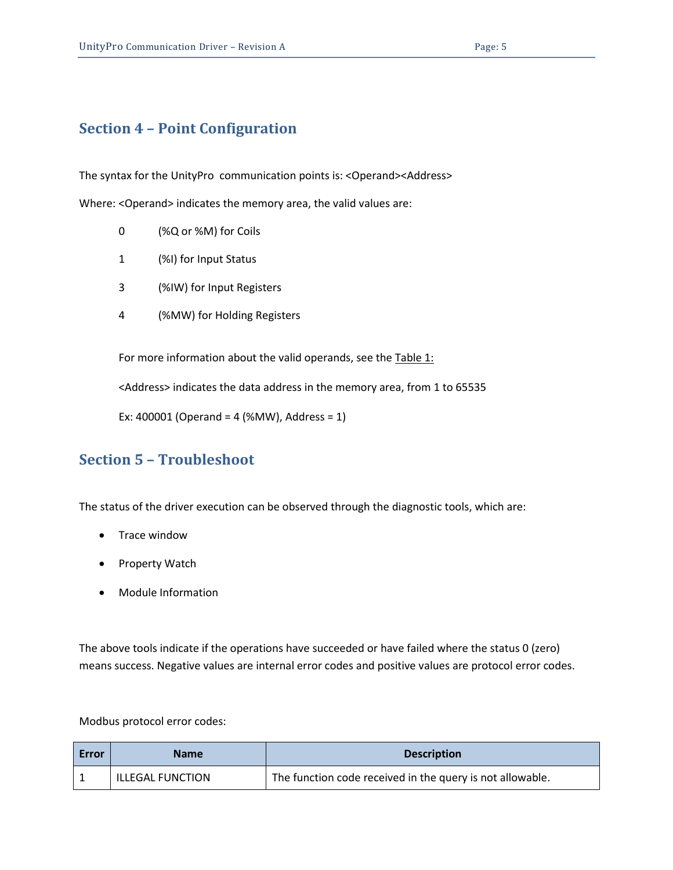# <span id="page-4-0"></span>**Section 4 – Point Configuration**

The syntax for the UnityPro communication points is: <Operand><Address>

Where: <Operand> indicates the memory area, the valid values are:

- 0 (%Q or %M) for Coils
- 1 (%I) for Input Status
- 3 (%IW) for Input Registers
- 4 (%MW) for Holding Registers

For more information about the valid operands, see the [Table 1:](#page-1-1)

<Address> indicates the data address in the memory area, from 1 to 65535

Ex: 400001 (Operand = 4 (%MW), Address = 1)

## <span id="page-4-1"></span>**Section 5 – Troubleshoot**

The status of the driver execution can be observed through the diagnostic tools, which are:

- Trace window
- Property Watch
- Module Information

The above tools indicate if the operations have succeeded or have failed where the status 0 (zero) means success. Negative values are internal error codes and positive values are protocol error codes.

### Modbus protocol error codes:

| Error | <b>Name</b>             | <b>Description</b>                                        |
|-------|-------------------------|-----------------------------------------------------------|
|       | <b>ILLEGAL FUNCTION</b> | The function code received in the query is not allowable. |